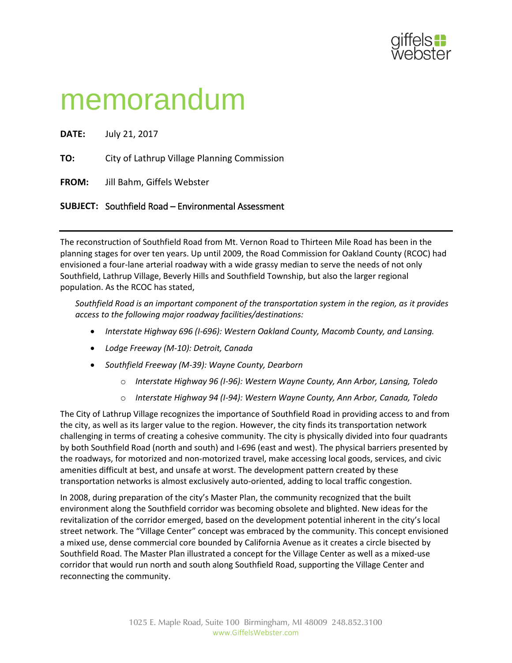

## memorandum

**DATE:** July 21, 2017 **TO:** City of Lathrup Village Planning Commission **FROM:** Jill Bahm, Giffels Webster **SUBJECT:** Southfield Road – Environmental Assessment

The reconstruction of Southfield Road from Mt. Vernon Road to Thirteen Mile Road has been in the planning stages for over ten years. Up until 2009, the Road Commission for Oakland County (RCOC) had envisioned a four-lane arterial roadway with a wide grassy median to serve the needs of not only Southfield, Lathrup Village, Beverly Hills and Southfield Township, but also the larger regional population. As the RCOC has stated,

*Southfield Road is an important component of the transportation system in the region, as it provides access to the following major roadway facilities/destinations:*

- *Interstate Highway 696 (I-696): Western Oakland County, Macomb County, and Lansing.*
- *Lodge Freeway (M-10): Detroit, Canada*
- *Southfield Freeway (M-39): Wayne County, Dearborn*
	- o *Interstate Highway 96 (I-96): Western Wayne County, Ann Arbor, Lansing, Toledo*
	- o *Interstate Highway 94 (I-94): Western Wayne County, Ann Arbor, Canada, Toledo*

The City of Lathrup Village recognizes the importance of Southfield Road in providing access to and from the city, as well as its larger value to the region. However, the city finds its transportation network challenging in terms of creating a cohesive community. The city is physically divided into four quadrants by both Southfield Road (north and south) and I-696 (east and west). The physical barriers presented by the roadways, for motorized and non-motorized travel, make accessing local goods, services, and civic amenities difficult at best, and unsafe at worst. The development pattern created by these transportation networks is almost exclusively auto-oriented, adding to local traffic congestion.

In 2008, during preparation of the city's Master Plan, the community recognized that the built environment along the Southfield corridor was becoming obsolete and blighted. New ideas for the revitalization of the corridor emerged, based on the development potential inherent in the city's local street network. The "Village Center" concept was embraced by the community. This concept envisioned a mixed use, dense commercial core bounded by California Avenue as it creates a circle bisected by Southfield Road. The Master Plan illustrated a concept for the Village Center as well as a mixed-use corridor that would run north and south along Southfield Road, supporting the Village Center and reconnecting the community.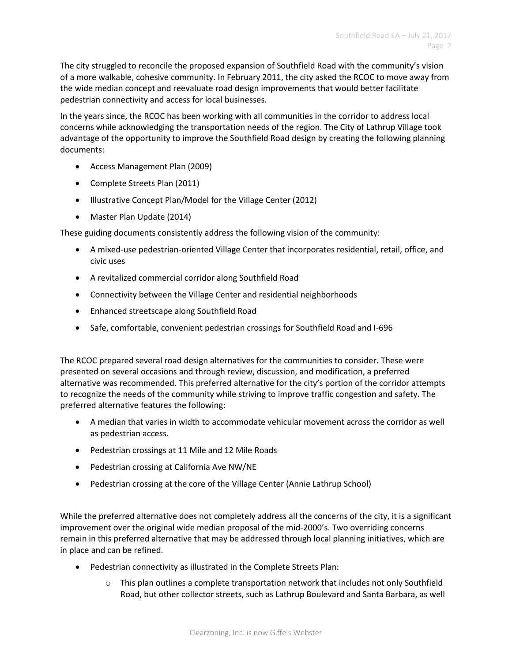The city struggled to reconcile the proposed expansion of Southfield Road with the community's vision of a more walkable, cohesive community. In February 2011, the city asked the RCOC to move away from the wide median concept and reevaluate road design improvements that would better facilitate pedestrian connectivity and access for local businesses.

In the years since, the RCOC has been working with all communities in the corridor to address local concerns while acknowledging the transportation needs of the region. The City of Lathrup Village took advantage of the opportunity to improve the Southfield Road design by creating the following planning documents:

- Access Management Plan (2009)
- Complete Streets Plan (2011)
- Illustrative Concept Plan/Model for the Village Center (2012)
- Master Plan Update (2014)

These guiding documents consistently address the following vision of the community:

- A mixed-use pedestrian-oriented Village Center that incorporates residential, retail, office, and civic uses
- A revitalized commercial corridor along Southfield Road
- Connectivity between the Village Center and residential neighborhoods
- Enhanced streetscape along Southfield Road
- Safe, comfortable, convenient pedestrian crossings for Southfield Road and I-696

The RCOC prepared several road design alternatives for the communities to consider. These were presented on several occasions and through review, discussion, and modification, a preferred alternative was recommended. This preferred alternative for the city's portion of the corridor attempts to recognize the needs of the community while striving to improve traffic congestion and safety. The preferred alternative features the following:

- A median that varies in width to accommodate vehicular movement across the corridor as well as pedestrian access.
- Pedestrian crossings at 11 Mile and 12 Mile Roads
- Pedestrian crossing at California Ave NW/NE
- Pedestrian crossing at the core of the Village Center (Annie Lathrup School)

While the preferred alternative does not completely address all the concerns of the city, it is a significant improvement over the original wide median proposal of the mid-2000's. Two overriding concerns remain in this preferred alternative that may be addressed through local planning initiatives, which are in place and can be refined.

- Pedestrian connectivity as illustrated in the Complete Streets Plan:
	- $\circ$  This plan outlines a complete transportation network that includes not only Southfield Road, but other collector streets, such as Lathrup Boulevard and Santa Barbara, as well